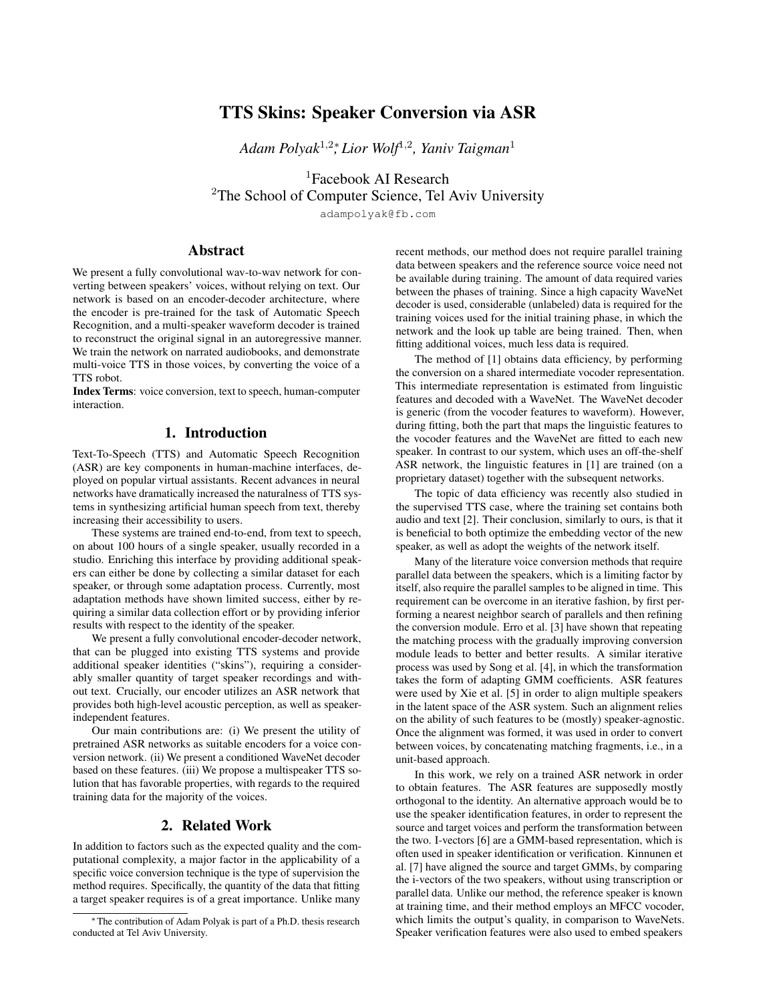# TTS Skins: Speaker Conversion via ASR

*Adam Polyak*<sup>1</sup>,2<sup>∗</sup> *, Lior Wolf*<sup>1</sup>,<sup>2</sup> *, Yaniv Taigman*<sup>1</sup>

<sup>1</sup>Facebook AI Research  $2$ The School of Computer Science, Tel Aviv University

adampolyak@fb.com

# Abstract

We present a fully convolutional wav-to-wav network for converting between speakers' voices, without relying on text. Our network is based on an encoder-decoder architecture, where the encoder is pre-trained for the task of Automatic Speech Recognition, and a multi-speaker waveform decoder is trained to reconstruct the original signal in an autoregressive manner. We train the network on narrated audiobooks, and demonstrate multi-voice TTS in those voices, by converting the voice of a TTS robot.

Index Terms: voice conversion, text to speech, human-computer interaction.

## 1. Introduction

Text-To-Speech (TTS) and Automatic Speech Recognition (ASR) are key components in human-machine interfaces, deployed on popular virtual assistants. Recent advances in neural networks have dramatically increased the naturalness of TTS systems in synthesizing artificial human speech from text, thereby increasing their accessibility to users.

These systems are trained end-to-end, from text to speech, on about 100 hours of a single speaker, usually recorded in a studio. Enriching this interface by providing additional speakers can either be done by collecting a similar dataset for each speaker, or through some adaptation process. Currently, most adaptation methods have shown limited success, either by requiring a similar data collection effort or by providing inferior results with respect to the identity of the speaker.

We present a fully convolutional encoder-decoder network, that can be plugged into existing TTS systems and provide additional speaker identities ("skins"), requiring a considerably smaller quantity of target speaker recordings and without text. Crucially, our encoder utilizes an ASR network that provides both high-level acoustic perception, as well as speakerindependent features.

Our main contributions are: (i) We present the utility of pretrained ASR networks as suitable encoders for a voice conversion network. (ii) We present a conditioned WaveNet decoder based on these features. (iii) We propose a multispeaker TTS solution that has favorable properties, with regards to the required training data for the majority of the voices.

### 2. Related Work

In addition to factors such as the expected quality and the computational complexity, a major factor in the applicability of a specific voice conversion technique is the type of supervision the method requires. Specifically, the quantity of the data that fitting a target speaker requires is of a great importance. Unlike many recent methods, our method does not require parallel training data between speakers and the reference source voice need not be available during training. The amount of data required varies between the phases of training. Since a high capacity WaveNet decoder is used, considerable (unlabeled) data is required for the training voices used for the initial training phase, in which the network and the look up table are being trained. Then, when fitting additional voices, much less data is required.

The method of [1] obtains data efficiency, by performing the conversion on a shared intermediate vocoder representation. This intermediate representation is estimated from linguistic features and decoded with a WaveNet. The WaveNet decoder is generic (from the vocoder features to waveform). However, during fitting, both the part that maps the linguistic features to the vocoder features and the WaveNet are fitted to each new speaker. In contrast to our system, which uses an off-the-shelf ASR network, the linguistic features in [1] are trained (on a proprietary dataset) together with the subsequent networks.

The topic of data efficiency was recently also studied in the supervised TTS case, where the training set contains both audio and text [2]. Their conclusion, similarly to ours, is that it is beneficial to both optimize the embedding vector of the new speaker, as well as adopt the weights of the network itself.

Many of the literature voice conversion methods that require parallel data between the speakers, which is a limiting factor by itself, also require the parallel samples to be aligned in time. This requirement can be overcome in an iterative fashion, by first performing a nearest neighbor search of parallels and then refining the conversion module. Erro et al. [3] have shown that repeating the matching process with the gradually improving conversion module leads to better and better results. A similar iterative process was used by Song et al. [4], in which the transformation takes the form of adapting GMM coefficients. ASR features were used by Xie et al. [5] in order to align multiple speakers in the latent space of the ASR system. Such an alignment relies on the ability of such features to be (mostly) speaker-agnostic. Once the alignment was formed, it was used in order to convert between voices, by concatenating matching fragments, i.e., in a unit-based approach.

In this work, we rely on a trained ASR network in order to obtain features. The ASR features are supposedly mostly orthogonal to the identity. An alternative approach would be to use the speaker identification features, in order to represent the source and target voices and perform the transformation between the two. I-vectors [6] are a GMM-based representation, which is often used in speaker identification or verification. Kinnunen et al. [7] have aligned the source and target GMMs, by comparing the i-vectors of the two speakers, without using transcription or parallel data. Unlike our method, the reference speaker is known at training time, and their method employs an MFCC vocoder, which limits the output's quality, in comparison to WaveNets. Speaker verification features were also used to embed speakers

<sup>∗</sup> The contribution of Adam Polyak is part of a Ph.D. thesis research conducted at Tel Aviv University.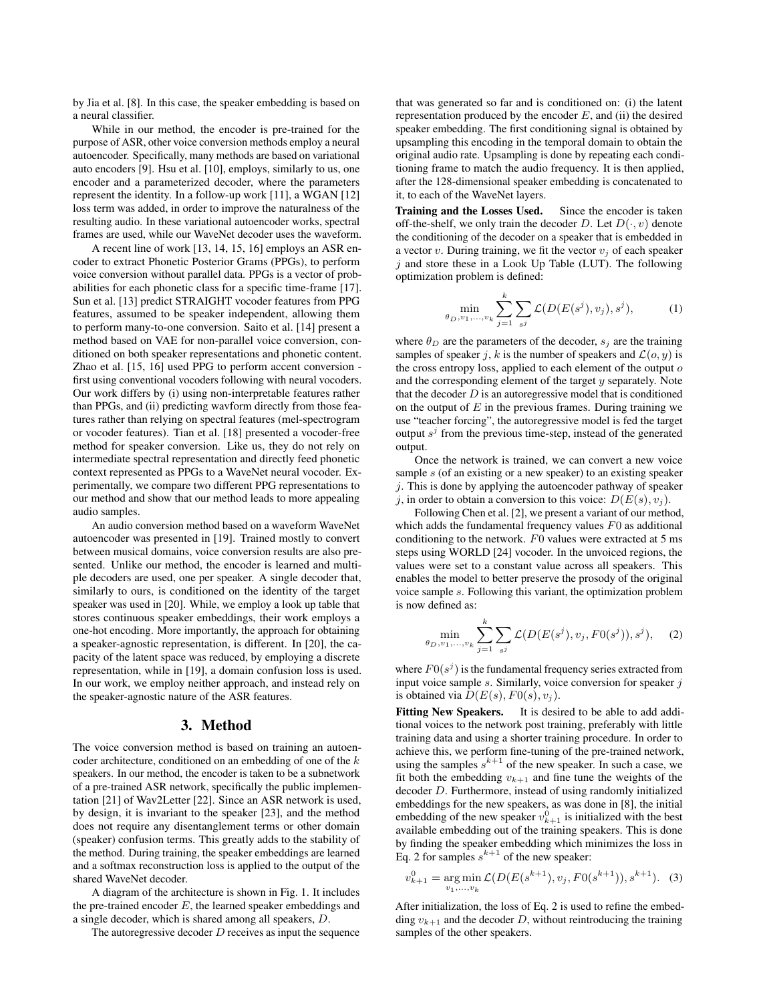by Jia et al. [8]. In this case, the speaker embedding is based on a neural classifier.

While in our method, the encoder is pre-trained for the purpose of ASR, other voice conversion methods employ a neural autoencoder. Specifically, many methods are based on variational auto encoders [9]. Hsu et al. [10], employs, similarly to us, one encoder and a parameterized decoder, where the parameters represent the identity. In a follow-up work [11], a WGAN [12] loss term was added, in order to improve the naturalness of the resulting audio. In these variational autoencoder works, spectral frames are used, while our WaveNet decoder uses the waveform.

A recent line of work [13, 14, 15, 16] employs an ASR encoder to extract Phonetic Posterior Grams (PPGs), to perform voice conversion without parallel data. PPGs is a vector of probabilities for each phonetic class for a specific time-frame [17]. Sun et al. [13] predict STRAIGHT vocoder features from PPG features, assumed to be speaker independent, allowing them to perform many-to-one conversion. Saito et al. [14] present a method based on VAE for non-parallel voice conversion, conditioned on both speaker representations and phonetic content. Zhao et al. [15, 16] used PPG to perform accent conversion first using conventional vocoders following with neural vocoders. Our work differs by (i) using non-interpretable features rather than PPGs, and (ii) predicting wavform directly from those features rather than relying on spectral features (mel-spectrogram or vocoder features). Tian et al. [18] presented a vocoder-free method for speaker conversion. Like us, they do not rely on intermediate spectral representation and directly feed phonetic context represented as PPGs to a WaveNet neural vocoder. Experimentally, we compare two different PPG representations to our method and show that our method leads to more appealing audio samples.

An audio conversion method based on a waveform WaveNet autoencoder was presented in [19]. Trained mostly to convert between musical domains, voice conversion results are also presented. Unlike our method, the encoder is learned and multiple decoders are used, one per speaker. A single decoder that, similarly to ours, is conditioned on the identity of the target speaker was used in [20]. While, we employ a look up table that stores continuous speaker embeddings, their work employs a one-hot encoding. More importantly, the approach for obtaining a speaker-agnostic representation, is different. In [20], the capacity of the latent space was reduced, by employing a discrete representation, while in [19], a domain confusion loss is used. In our work, we employ neither approach, and instead rely on the speaker-agnostic nature of the ASR features.

#### 3. Method

The voice conversion method is based on training an autoencoder architecture, conditioned on an embedding of one of the k speakers. In our method, the encoder is taken to be a subnetwork of a pre-trained ASR network, specifically the public implementation [21] of Wav2Letter [22]. Since an ASR network is used, by design, it is invariant to the speaker [23], and the method does not require any disentanglement terms or other domain (speaker) confusion terms. This greatly adds to the stability of the method. During training, the speaker embeddings are learned and a softmax reconstruction loss is applied to the output of the shared WaveNet decoder.

A diagram of the architecture is shown in Fig. 1. It includes the pre-trained encoder  $E$ , the learned speaker embeddings and a single decoder, which is shared among all speakers, D.

The autoregressive decoder  $D$  receives as input the sequence

that was generated so far and is conditioned on: (i) the latent representation produced by the encoder  $E$ , and (ii) the desired speaker embedding. The first conditioning signal is obtained by upsampling this encoding in the temporal domain to obtain the original audio rate. Upsampling is done by repeating each conditioning frame to match the audio frequency. It is then applied, after the 128-dimensional speaker embedding is concatenated to it, to each of the WaveNet layers.

Training and the Losses Used. Since the encoder is taken off-the-shelf, we only train the decoder D. Let  $D(\cdot, v)$  denote the conditioning of the decoder on a speaker that is embedded in a vector v. During training, we fit the vector  $v_i$  of each speaker  $j$  and store these in a Look Up Table (LUT). The following optimization problem is defined:

$$
\min_{\theta_D, v_1, \dots, v_k} \sum_{j=1}^k \sum_{s^j} \mathcal{L}(D(E(s^j), v_j), s^j), \tag{1}
$$

where  $\theta_D$  are the parameters of the decoder,  $s_j$  are the training samples of speaker j, k is the number of speakers and  $\mathcal{L}(o, y)$  is the cross entropy loss, applied to each element of the output  $o$ and the corresponding element of the target  $y$  separately. Note that the decoder  $D$  is an autoregressive model that is conditioned on the output of  $E$  in the previous frames. During training we use "teacher forcing", the autoregressive model is fed the target output  $s^j$  from the previous time-step, instead of the generated output.

Once the network is trained, we can convert a new voice sample s (of an existing or a new speaker) to an existing speaker  $j$ . This is done by applying the autoencoder pathway of speaker j, in order to obtain a conversion to this voice:  $D(E(s), v<sub>i</sub>)$ .

Following Chen et al. [2], we present a variant of our method, which adds the fundamental frequency values  $F_0$  as additional conditioning to the network.  $F0$  values were extracted at 5 ms steps using WORLD [24] vocoder. In the unvoiced regions, the values were set to a constant value across all speakers. This enables the model to better preserve the prosody of the original voice sample s. Following this variant, the optimization problem is now defined as:

$$
\min_{\theta_D, v_1, \dots, v_k} \sum_{j=1}^k \sum_{s^j} \mathcal{L}(D(E(s^j), v_j, F0(s^j)), s^j), \quad (2)
$$

where  $F0(s^j)$  is the fundamental frequency series extracted from input voice sample  $s$ . Similarly, voice conversion for speaker  $j$ is obtained via  $D(E(s), F0(s), v_j)$ .

Fitting New Speakers. It is desired to be able to add additional voices to the network post training, preferably with little training data and using a shorter training procedure. In order to achieve this, we perform fine-tuning of the pre-trained network, using the samples  $s^{k+1}$  of the new speaker. In such a case, we fit both the embedding  $v_{k+1}$  and fine tune the weights of the decoder D. Furthermore, instead of using randomly initialized embeddings for the new speakers, as was done in [8], the initial embedding of the new speaker  $v_{k+1}^0$  is initialized with the best available embedding out of the training speakers. This is done by finding the speaker embedding which minimizes the loss in Eq. 2 for samples  $s^{k+1}$  of the new speaker:

$$
v_{k+1}^0 = \underset{v_1, \dots, v_k}{\arg \min} \mathcal{L}(D(E(s^{k+1}), v_j, F0(s^{k+1})), s^{k+1}). \tag{3}
$$

After initialization, the loss of Eq. 2 is used to refine the embedding  $v_{k+1}$  and the decoder D, without reintroducing the training samples of the other speakers.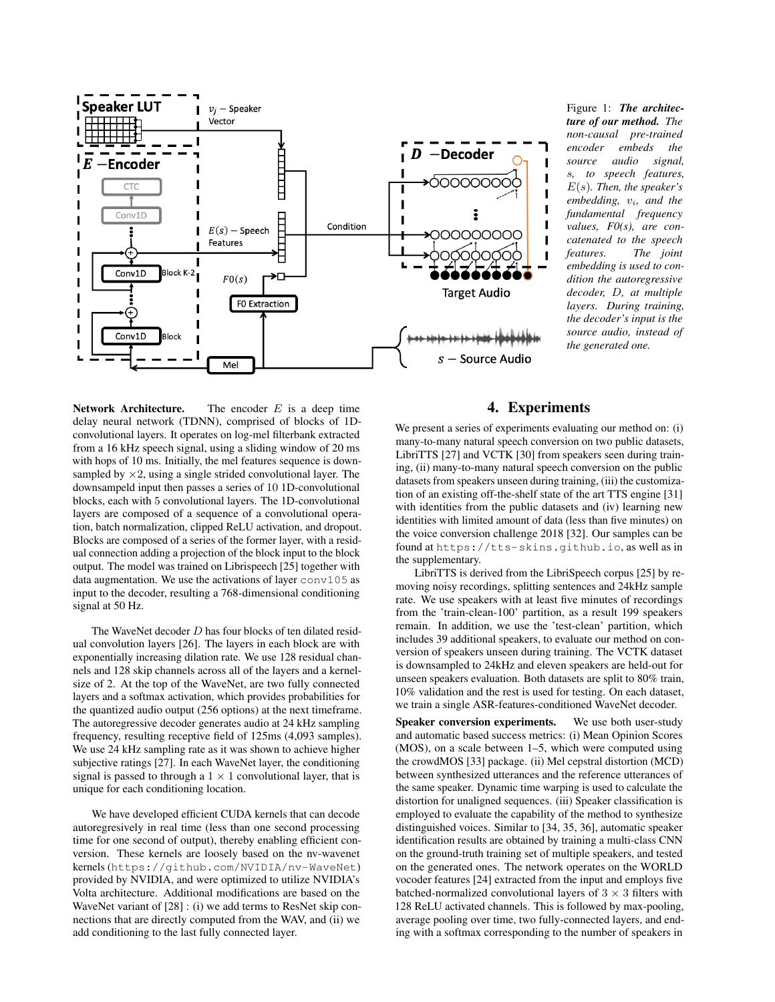

Network Architecture. The encoder  $E$  is a deep time delay neural network (TDNN), comprised of blocks of 1Dconvolutional layers. It operates on log-mel filterbank extracted from a 16 kHz speech signal, using a sliding window of 20 ms with hops of 10 ms. Initially, the mel features sequence is downsampled by  $\times$ 2, using a single strided convolutional layer. The downsampeld input then passes a series of 10 1D-convolutional blocks, each with 5 convolutional layers. The 1D-convolutional layers are composed of a sequence of a convolutional operation, batch normalization, clipped ReLU activation, and dropout. Blocks are composed of a series of the former layer, with a residual connection adding a projection of the block input to the block output. The model was trained on Librispeech [25] together with data augmentation. We use the activations of layer  $\cos 105$  as input to the decoder, resulting a 768-dimensional conditioning signal at 50 Hz.

The WaveNet decoder D has four blocks of ten dilated residual convolution layers [26]. The layers in each block are with exponentially increasing dilation rate. We use 128 residual channels and 128 skip channels across all of the layers and a kernelsize of 2. At the top of the WaveNet, are two fully connected layers and a softmax activation, which provides probabilities for the quantized audio output (256 options) at the next timeframe. The autoregressive decoder generates audio at 24 kHz sampling frequency, resulting receptive field of 125ms (4,093 samples). We use 24 kHz sampling rate as it was shown to achieve higher subjective ratings [27]. In each WaveNet layer, the conditioning signal is passed to through a  $1 \times 1$  convolutional layer, that is unique for each conditioning location.

We have developed efficient CUDA kernels that can decode autoregresively in real time (less than one second processing time for one second of output), thereby enabling efficient conversion. These kernels are loosely based on the nv-wavenet kernels (https://github.com/NVIDIA/nv-WaveNet) provided by NVIDIA, and were optimized to utilize NVIDIA's Volta architecture. Additional modifications are based on the WaveNet variant of [28] : (i) we add terms to ResNet skip connections that are directly computed from the WAV, and (ii) we add conditioning to the last fully connected layer.

Figure 1: *The architecture of our method. The non-causal pre-trained encoder embeds the source audio signal,* s*, to speech features,* E(s)*. Then, the speaker's embedding,*  $v_i$ *, and the fundamental frequency values, F0(s), are concatenated to the speech features. The joint embedding is used to condition the autoregressive decoder,* D*, at multiple layers. During training, the decoder's input is the source audio, instead of the generated one.*

# 4. Experiments

We present a series of experiments evaluating our method on: (i) many-to-many natural speech conversion on two public datasets, LibriTTS [27] and VCTK [30] from speakers seen during training, (ii) many-to-many natural speech conversion on the public datasets from speakers unseen during training, (iii) the customization of an existing off-the-shelf state of the art TTS engine [31] with identities from the public datasets and (iv) learning new identities with limited amount of data (less than five minutes) on the voice conversion challenge 2018 [32]. Our samples can be found at https://tts-skins.github.io, as well as in the supplementary.

LibriTTS is derived from the LibriSpeech corpus [25] by removing noisy recordings, splitting sentences and 24kHz sample rate. We use speakers with at least five minutes of recordings from the 'train-clean-100' partition, as a result 199 speakers remain. In addition, we use the 'test-clean' partition, which includes 39 additional speakers, to evaluate our method on conversion of speakers unseen during training. The VCTK dataset is downsampled to 24kHz and eleven speakers are held-out for unseen speakers evaluation. Both datasets are split to 80% train, 10% validation and the rest is used for testing. On each dataset, we train a single ASR-features-conditioned WaveNet decoder.

Speaker conversion experiments. We use both user-study and automatic based success metrics: (i) Mean Opinion Scores (MOS), on a scale between 1–5, which were computed using the crowdMOS [33] package. (ii) Mel cepstral distortion (MCD) between synthesized utterances and the reference utterances of the same speaker. Dynamic time warping is used to calculate the distortion for unaligned sequences. (iii) Speaker classification is employed to evaluate the capability of the method to synthesize distinguished voices. Similar to [34, 35, 36], automatic speaker identification results are obtained by training a multi-class CNN on the ground-truth training set of multiple speakers, and tested on the generated ones. The network operates on the WORLD vocoder features [24] extracted from the input and employs five batched-normalized convolutional layers of  $3 \times 3$  filters with 128 ReLU activated channels. This is followed by max-pooling, average pooling over time, two fully-connected layers, and ending with a softmax corresponding to the number of speakers in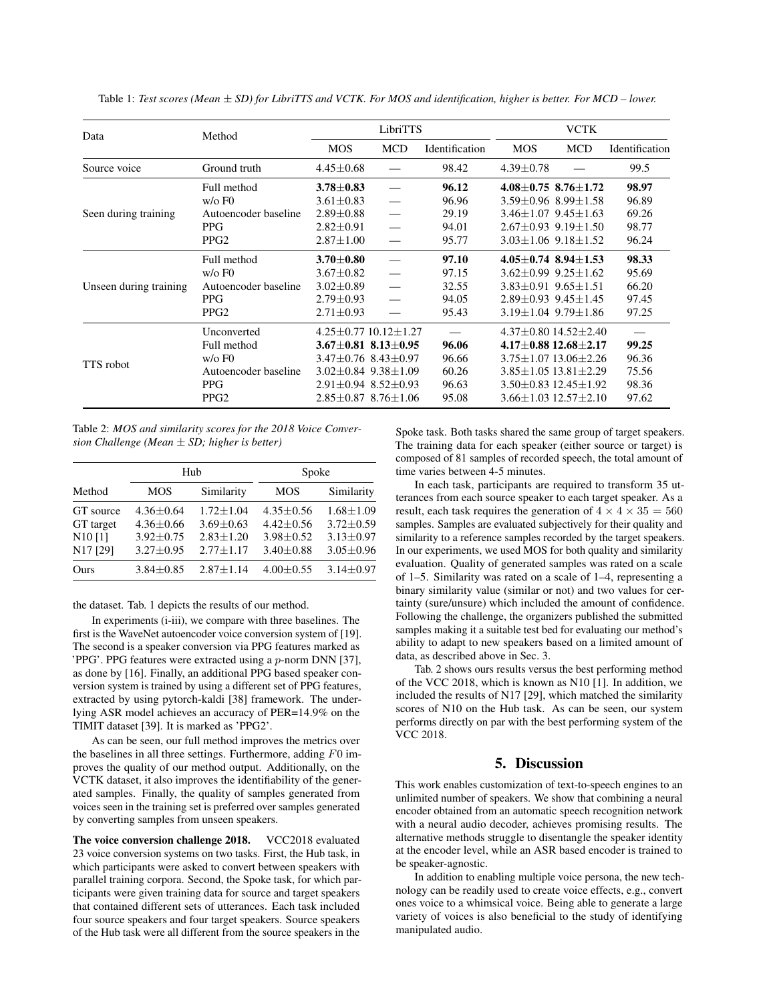| Data                   | Method                       | LibriTTS                        |            |                | <b>VCTK</b>     |                                  |                |
|------------------------|------------------------------|---------------------------------|------------|----------------|-----------------|----------------------------------|----------------|
|                        |                              | <b>MOS</b>                      | <b>MCD</b> | Identification | <b>MOS</b>      | <b>MCD</b>                       | Identification |
| Source voice           | Ground truth                 | $4.45 \pm 0.68$                 |            | 98.42          | $4.39 \pm 0.78$ |                                  | 99.5           |
| Seen during training   | Full method                  | $3.78 \pm 0.83$                 |            | 96.12          |                 | $4.08 + 0.75$ 8.76 + 1.72        | 98.97          |
|                        | $w$ / $\circ$ F <sub>0</sub> | $3.61 \pm 0.83$                 |            | 96.96          |                 | $3.59 \pm 0.96$ $8.99 \pm 1.58$  | 96.89          |
|                        | Autoencoder baseline         | $2.89 \pm 0.88$                 |            | 29.19          |                 | $3.46 + 1.07$ 9.45 + 1.63        | 69.26          |
|                        | <b>PPG</b>                   | $2.82 \pm 0.91$                 |            | 94.01          |                 | $2.67 \pm 0.93$ 9.19 $\pm$ 1.50  | 98.77          |
|                        | PPG <sub>2</sub>             | $2.87 \pm 1.00$                 |            | 95.77          |                 | $3.03 \pm 1.06$ 9.18 $\pm 1.52$  | 96.24          |
| Unseen during training | Full method                  | $3.70 \pm 0.80$                 |            | 97.10          |                 | $4.05 \pm 0.74$ 8.94 $\pm$ 1.53  | 98.33          |
|                        | $w$ / $\circ$ F <sub>0</sub> | $3.67 \pm 0.82$                 |            | 97.15          |                 | $3.62 + 0.99$ 9.25 + 1.62        | 95.69          |
|                        | Autoencoder baseline         | $3.02 \pm 0.89$                 |            | 32.55          |                 | $3.83 + 0.91$ 9.65 + 1.51        | 66.20          |
|                        | <b>PPG</b>                   | $2.79 \pm 0.93$                 |            | 94.05          |                 | $2.89 \pm 0.93$ $9.45 \pm 1.45$  | 97.45          |
|                        | PPG <sub>2</sub>             | $2.71 \pm 0.93$                 |            | 95.43          |                 | $3.19 \pm 1.04$ 9.79 $\pm 1.86$  | 97.25          |
| TTS robot              | Unconverted                  | $4.25 + 0.77$ 10.12 + 1.27      |            |                |                 | $4.37\pm0.80$ 14.52 $\pm2.40$    |                |
|                        | Full method                  | $3.67 \pm 0.81$ $8.13 \pm 0.95$ |            | 96.06          |                 | $4.17 \pm 0.88$ 12.68 $\pm 2.17$ | 99.25          |
|                        | $w$ / $\circ$ F <sub>0</sub> | $3.47\pm0.76$ $8.43\pm0.97$     |            | 96.66          |                 | $3.75 \pm 1.07$ 13.06 $\pm$ 2.26 | 96.36          |
|                        | Autoencoder baseline         | $3.02 + 0.84$ 9.38 + 1.09       |            | 60.26          |                 | $3.85 \pm 1.05$ 13.81 $\pm$ 2.29 | 75.56          |
|                        | <b>PPG</b>                   | $2.91 \pm 0.94$ 8.52 $\pm$ 0.93 |            | 96.63          |                 | $3.50\pm0.83$ 12.45 $\pm1.92$    | 98.36          |
|                        | PPG <sub>2</sub>             | $2.85 \pm 0.87$ 8.76 $\pm 1.06$ |            | 95.08          |                 | $3.66 \pm 1.03$ 12.57 $\pm$ 2.10 | 97.62          |

Table 1: *Test scores (Mean* ± *SD) for LibriTTS and VCTK. For MOS and identification, higher is better. For MCD – lower.*

Table 2: *MOS and similarity scores for the 2018 Voice Conversion Challenge (Mean* ± *SD; higher is better)*

|                                                           |                                                                        | Hub                                                                | Spoke                                                                  |                                                                          |  |  |
|-----------------------------------------------------------|------------------------------------------------------------------------|--------------------------------------------------------------------|------------------------------------------------------------------------|--------------------------------------------------------------------------|--|--|
| Method                                                    | <b>MOS</b>                                                             | Similarity                                                         | <b>MOS</b>                                                             | Similarity                                                               |  |  |
| GT source<br>GT target<br>N <sub>10</sub> [1]<br>N17 [29] | $4.36 + 0.64$<br>$4.36 \pm 0.66$<br>$3.92 \pm 0.75$<br>$3.27 \pm 0.95$ | $1.72 + 1.04$<br>$3.69 \pm 0.63$<br>$2.83 + 1.20$<br>$2.77 + 1.17$ | $4.35 + 0.56$<br>$4.42 \pm 0.56$<br>$3.98 \pm 0.52$<br>$3.40 \pm 0.88$ | $1.68 \pm 1.09$<br>$3.72 \pm 0.59$<br>$3.13 \pm 0.97$<br>$3.05 \pm 0.96$ |  |  |
| Ours                                                      | $3.84 \pm 0.85$                                                        | $2.87 + 1.14$                                                      | $4.00 \pm 0.55$                                                        | $3.14 \pm 0.97$                                                          |  |  |

the dataset. Tab. 1 depicts the results of our method.

In experiments (i-iii), we compare with three baselines. The first is the WaveNet autoencoder voice conversion system of [19]. The second is a speaker conversion via PPG features marked as 'PPG'. PPG features were extracted using a p-norm DNN [37], as done by [16]. Finally, an additional PPG based speaker conversion system is trained by using a different set of PPG features, extracted by using pytorch-kaldi [38] framework. The underlying ASR model achieves an accuracy of PER=14.9% on the TIMIT dataset [39]. It is marked as 'PPG2'.

As can be seen, our full method improves the metrics over the baselines in all three settings. Furthermore, adding  $F0$  improves the quality of our method output. Additionally, on the VCTK dataset, it also improves the identifiability of the generated samples. Finally, the quality of samples generated from voices seen in the training set is preferred over samples generated by converting samples from unseen speakers.

The voice conversion challenge 2018. VCC2018 evaluated 23 voice conversion systems on two tasks. First, the Hub task, in which participants were asked to convert between speakers with parallel training corpora. Second, the Spoke task, for which participants were given training data for source and target speakers that contained different sets of utterances. Each task included four source speakers and four target speakers. Source speakers of the Hub task were all different from the source speakers in the

Spoke task. Both tasks shared the same group of target speakers. The training data for each speaker (either source or target) is composed of 81 samples of recorded speech, the total amount of time varies between 4-5 minutes.

In each task, participants are required to transform 35 utterances from each source speaker to each target speaker. As a result, each task requires the generation of  $4 \times 4 \times 35 = 560$ samples. Samples are evaluated subjectively for their quality and similarity to a reference samples recorded by the target speakers. In our experiments, we used MOS for both quality and similarity evaluation. Quality of generated samples was rated on a scale of 1–5. Similarity was rated on a scale of 1–4, representing a binary similarity value (similar or not) and two values for certainty (sure/unsure) which included the amount of confidence. Following the challenge, the organizers published the submitted samples making it a suitable test bed for evaluating our method's ability to adapt to new speakers based on a limited amount of data, as described above in Sec. 3.

Tab. 2 shows ours results versus the best performing method of the VCC 2018, which is known as N10 [1]. In addition, we included the results of N17 [29], which matched the similarity scores of N10 on the Hub task. As can be seen, our system performs directly on par with the best performing system of the VCC 2018.

### 5. Discussion

This work enables customization of text-to-speech engines to an unlimited number of speakers. We show that combining a neural encoder obtained from an automatic speech recognition network with a neural audio decoder, achieves promising results. The alternative methods struggle to disentangle the speaker identity at the encoder level, while an ASR based encoder is trained to be speaker-agnostic.

In addition to enabling multiple voice persona, the new technology can be readily used to create voice effects, e.g., convert ones voice to a whimsical voice. Being able to generate a large variety of voices is also beneficial to the study of identifying manipulated audio.